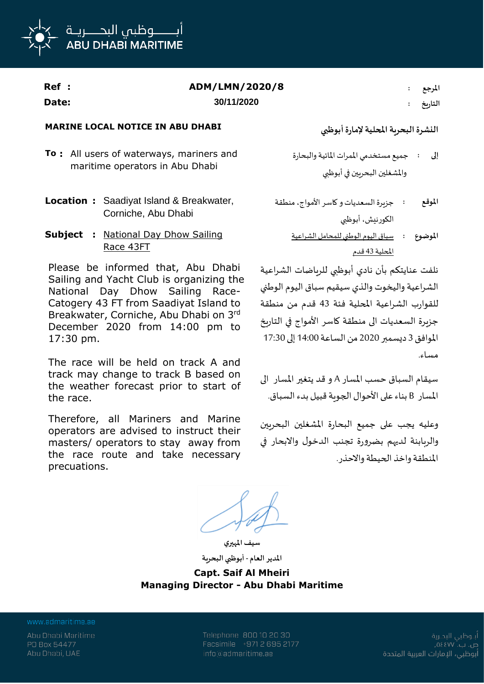

| Ref : | ADM/LMN/2020/8 | المرجع  |
|-------|----------------|---------|
| Date: | 30/11/2020     | التاريخ |

## **MARINE LOCAL NOTICE IN ABU DHABI أبوظبي إلمارة املحلية البحرية النشرة**

- **To :** All users of waterways, mariners and maritime operators in Abu Dhabi
- **Location :** Saadiyat Island & Breakwater, Corniche, Abu Dhabi
- **Subject :** National Day Dhow Sailing Race 43FT

Please be informed that, Abu Dhabi Sailing and Yacht Club is organizing the National Day Dhow Sailing Race-Catogery 43 FT from Saadiyat Island to Breakwater, Corniche, Abu Dhabi on 3rd December 2020 from 14:00 pm to 17:30 pm.

The race will be held on track A and track may change to track B based on the weather forecast prior to start of the race.

Therefore, all Mariners and Marine operators are advised to instruct their masters/ operators to stay away from the race route and take necessary precuations.

- جميع مستخدمي املمرات املائية والبحارة واملشغلين البحريين في أبوظبي **إلى :**
- جزيرة السعديات وكاسر األمواج، منطقة الكورنيش، أبوظبي **املوقع :**
	- سباق اليوم الوطني للمحامل الشراعية **املوضوع :** املحلية 43 قدم

نلفت عنايتكم بأن نادي أبوظبي للرياضات الشراعية الشراعية واليخوت والذي سيقيم سباق اليوم الوطني للقوارب الشراعية املحلية فئة 43 قدم من منطقة جزيرة السعديات الى منطقة كاسر األمواج في التاريخ املوافق 3 ديسمبر 2020 من الساعة 14:00 إلى 17:30 مساء.

سيقام السباق حسب املسار A و قد يتغير املسار الى املسار B بناء على األحوال الجوية قبيل بدء السباق.

وعليه يجب على جميع البحارة املشغلين البحريين والربابنة لديهم بضرورة تجنب الدخول واالبحار في املنطقة واخذ الحيطة واالحذر.

**سيف املهيري**

**املدير العام - أبوظبي البحرية Capt. Saif Al Mheiri Managing Director - Abu Dhabi Maritime**

www.admaritime.ae

Abu Dhabi Maritime PO Box 54477 Abu Dhabi, UAE

Telephone 800 10 20 30 Facsimile +971 2 695 2177 info@admaritime.ae

أبــوظبي البحــرية ص. ب. ٧٧] ٥٤ أبوظبي، الإمارات العربية المتحدة